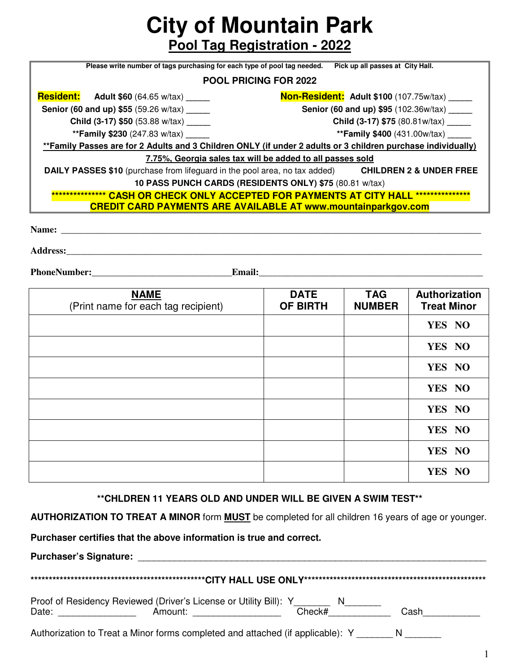**City of Mountain Park** 

**Pool Tag Registration - 2022**

| Please write number of tags purchasing for each type of pool tag needed.                                             | Pick up all passes at City Hall.              |  |  |  |
|----------------------------------------------------------------------------------------------------------------------|-----------------------------------------------|--|--|--|
| <b>POOL PRICING FOR 2022</b>                                                                                         |                                               |  |  |  |
| <b>Resident:</b> Adult \$60 (64.65 w/tax) ______                                                                     | Non-Resident: Adult \$100 (107.75w/tax) _____ |  |  |  |
| <b>Senior (60 and up) \$55 (59.26 w/tax)</b>                                                                         | Senior (60 and up) \$95 (102.36w/tax) ______  |  |  |  |
| <b>Child (3-17) \$50</b> (53.88 w/tax)                                                                               | <b>Child (3-17) \$75</b> (80.81w/tax)         |  |  |  |
| <b>**Family \$230</b> (247.83 w/tax)                                                                                 | <b>**Family \$400</b> (431.00w/tax)           |  |  |  |
| **Family Passes are for 2 Adults and 3 Children ONLY (if under 2 adults or 3 children purchase individually)         |                                               |  |  |  |
| 7.75%, Georgia sales tax will be added to all passes sold                                                            |                                               |  |  |  |
| <b>DAILY PASSES \$10</b> (purchase from lifeguard in the pool area, no tax added) <b>CHILDREN 2 &amp; UNDER FREE</b> |                                               |  |  |  |
| 10 PASS PUNCH CARDS (RESIDENTS ONLY) \$75 (80.81 w/tax)                                                              |                                               |  |  |  |
| **************** CASH OR CHECK ONLY ACCEPTED FOR PAYMENTS AT CITY HALL *************                                 |                                               |  |  |  |
| <b>CREDIT CARD PAYMENTS ARE AVAILABLE AT www.mountainparkgov.com</b>                                                 |                                               |  |  |  |
|                                                                                                                      |                                               |  |  |  |
| <b>Name:</b> __                                                                                                      |                                               |  |  |  |
|                                                                                                                      |                                               |  |  |  |

**Address:\_\_\_\_\_\_\_\_\_\_\_\_\_\_\_\_\_\_\_\_\_\_\_\_\_\_\_\_\_\_\_\_\_\_\_\_\_\_\_\_\_\_\_\_\_\_\_\_\_\_\_\_\_\_\_\_\_\_\_\_\_\_\_\_\_\_\_\_\_\_\_\_\_\_\_\_\_\_\_\_\_\_\_\_\_\_\_\_\_** 

**PhoneNumber:** Email:

| <b>NAME</b><br>(Print name for each tag recipient) | <b>DATE</b><br><b>OF BIRTH</b> | <b>TAG</b><br><b>NUMBER</b> | Authorization<br><b>Treat Minor</b> |
|----------------------------------------------------|--------------------------------|-----------------------------|-------------------------------------|
|                                                    |                                |                             | YES NO                              |
|                                                    |                                |                             | YES NO                              |
|                                                    |                                |                             | YES NO                              |
|                                                    |                                |                             | YES NO                              |
|                                                    |                                |                             | YES NO                              |
|                                                    |                                |                             | YES NO                              |
|                                                    |                                |                             | YES NO                              |
|                                                    |                                |                             | YES NO                              |

**\*\*CHLDREN 11 YEARS OLD AND UNDER WILL BE GIVEN A SWIM TEST\*\*** 

**AUTHORIZATION TO TREAT A MINOR** form **MUST** be completed for all children 16 years of age or younger.

**Purchaser certifies that the above information is true and correct.** 

**Purchaser's Signature:** \_\_\_\_\_\_\_\_\_\_\_\_\_\_\_\_\_\_\_\_\_\_\_\_\_\_\_\_\_\_\_\_\_\_\_\_\_\_\_\_\_\_\_\_\_\_\_\_\_\_\_\_\_\_\_\_\_\_\_\_\_\_\_\_\_\_\_

| Proof of Residency Reviewed (Driver's License or Utility Bill): Y<br>Date:<br>Amount: Amount: Amount: Amount: Amount: Amount: Amount: Amount: Amount: Amount: Amount: Amount: Amount: Amount | Check# | Cash |  |  |
|----------------------------------------------------------------------------------------------------------------------------------------------------------------------------------------------|--------|------|--|--|
| Authorization to Treat a Minor forms completed and attached (if applicable): Y                                                                                                               |        |      |  |  |